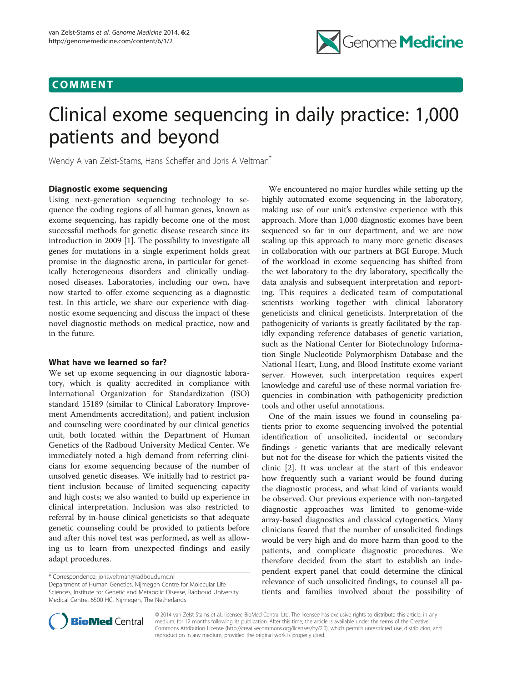# COMMENT



# Clinical exome sequencing in daily practice: 1,000 patients and beyond

Wendy A van Zelst-Stams, Hans Scheffer and Joris A Veltman<sup>®</sup>

### Diagnostic exome sequencing

Using next-generation sequencing technology to sequence the coding regions of all human genes, known as exome sequencing, has rapidly become one of the most successful methods for genetic disease research since its introduction in 2009 [[1](#page-2-0)]. The possibility to investigate all genes for mutations in a single experiment holds great promise in the diagnostic arena, in particular for genetically heterogeneous disorders and clinically undiagnosed diseases. Laboratories, including our own, have now started to offer exome sequencing as a diagnostic test. In this article, we share our experience with diagnostic exome sequencing and discuss the impact of these novel diagnostic methods on medical practice, now and in the future.

### What have we learned so far?

We set up exome sequencing in our diagnostic laboratory, which is quality accredited in compliance with International Organization for Standardization (ISO) standard 15189 (similar to Clinical Laboratory Improvement Amendments accreditation), and patient inclusion and counseling were coordinated by our clinical genetics unit, both located within the Department of Human Genetics of the Radboud University Medical Center. We immediately noted a high demand from referring clinicians for exome sequencing because of the number of unsolved genetic diseases. We initially had to restrict patient inclusion because of limited sequencing capacity and high costs; we also wanted to build up experience in clinical interpretation. Inclusion was also restricted to referral by in-house clinical geneticists so that adequate genetic counseling could be provided to patients before and after this novel test was performed, as well as allowing us to learn from unexpected findings and easily adapt procedures.

Department of Human Genetics, Nijmegen Centre for Molecular Life Sciences, Institute for Genetic and Metabolic Disease, Radboud University Medical Centre, 6500 HC, Nijmegen, The Netherlands

We encountered no major hurdles while setting up the highly automated exome sequencing in the laboratory, making use of our unit's extensive experience with this approach. More than 1,000 diagnostic exomes have been sequenced so far in our department, and we are now scaling up this approach to many more genetic diseases in collaboration with our partners at BGI Europe. Much of the workload in exome sequencing has shifted from the wet laboratory to the dry laboratory, specifically the data analysis and subsequent interpretation and reporting. This requires a dedicated team of computational scientists working together with clinical laboratory geneticists and clinical geneticists. Interpretation of the pathogenicity of variants is greatly facilitated by the rapidly expanding reference databases of genetic variation, such as the National Center for Biotechnology Information Single Nucleotide Polymorphism Database and the National Heart, Lung, and Blood Institute exome variant server. However, such interpretation requires expert knowledge and careful use of these normal variation frequencies in combination with pathogenicity prediction tools and other useful annotations.

One of the main issues we found in counseling patients prior to exome sequencing involved the potential identification of unsolicited, incidental or secondary findings - genetic variants that are medically relevant but not for the disease for which the patients visited the clinic [[2\]](#page-2-0). It was unclear at the start of this endeavor how frequently such a variant would be found during the diagnostic process, and what kind of variants would be observed. Our previous experience with non-targeted diagnostic approaches was limited to genome-wide array-based diagnostics and classical cytogenetics. Many clinicians feared that the number of unsolicited findings would be very high and do more harm than good to the patients, and complicate diagnostic procedures. We therefore decided from the start to establish an independent expert panel that could determine the clinical relevance of such unsolicited findings, to counsel all patients and families involved about the possibility of



© 2014 van Zelst-Stams et al.; licensee BioMed Central Ltd. The licensee has exclusive rights to distribute this article, in any medium, for 12 months following its publication. After this time, the article is available under the terms of the Creative Commons Attribution License [\(http://creativecommons.org/licenses/by/2.0\)](http://creativecommons.org/licenses/by/2.0), which permits unrestricted use, distribution, and reproduction in any medium, provided the original work is properly cited.

<sup>\*</sup> Correspondence: [joris.veltman@radboudumc.nl](mailto:joris.veltman@radboudumc.nl)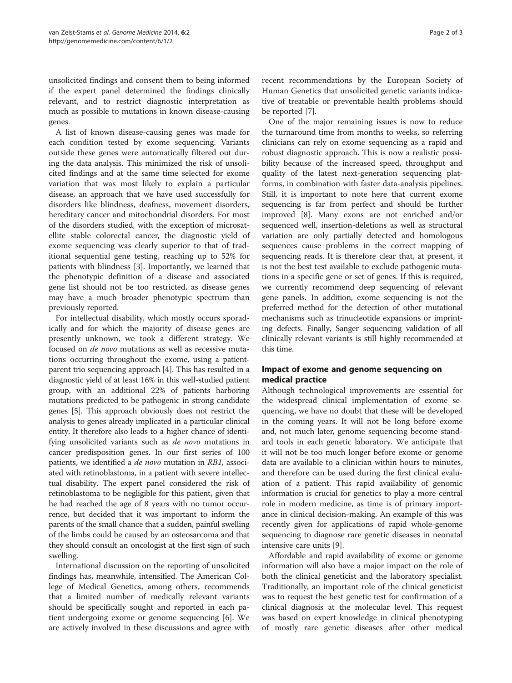unsolicited findings and consent them to being informed if the expert panel determined the findings clinically relevant, and to restrict diagnostic interpretation as much as possible to mutations in known disease-causing genes.

A list of known disease-causing genes was made for each condition tested by exome sequencing. Variants outside these genes were automatically filtered out during the data analysis. This minimized the risk of unsolicited findings and at the same time selected for exome variation that was most likely to explain a particular disease, an approach that we have used successfully for disorders like blindness, deafness, movement disorders, hereditary cancer and mitochondrial disorders. For most of the disorders studied, with the exception of microsatellite stable colorectal cancer, the diagnostic yield of exome sequencing was clearly superior to that of traditional sequential gene testing, reaching up to 52% for patients with blindness [[3](#page-2-0)]. Importantly, we learned that the phenotypic definition of a disease and associated gene list should not be too restricted, as disease genes may have a much broader phenotypic spectrum than previously reported.

For intellectual disability, which mostly occurs sporadically and for which the majority of disease genes are presently unknown, we took a different strategy. We focused on de novo mutations as well as recessive mutations occurring throughout the exome, using a patientparent trio sequencing approach [\[4](#page-2-0)]. This has resulted in a diagnostic yield of at least 16% in this well-studied patient group, with an additional 22% of patients harboring mutations predicted to be pathogenic in strong candidate genes [\[5](#page-2-0)]. This approach obviously does not restrict the analysis to genes already implicated in a particular clinical entity. It therefore also leads to a higher chance of identifying unsolicited variants such as de novo mutations in cancer predisposition genes. In our first series of 100 patients, we identified a de novo mutation in RB1, associated with retinoblastoma, in a patient with severe intellectual disability. The expert panel considered the risk of retinoblastoma to be negligible for this patient, given that he had reached the age of 8 years with no tumor occurrence, but decided that it was important to inform the parents of the small chance that a sudden, painful swelling of the limbs could be caused by an osteosarcoma and that they should consult an oncologist at the first sign of such swelling.

International discussion on the reporting of unsolicited findings has, meanwhile, intensified. The American College of Medical Genetics, among others, recommends that a limited number of medically relevant variants should be specifically sought and reported in each patient undergoing exome or genome sequencing [\[6\]](#page-2-0). We are actively involved in these discussions and agree with

recent recommendations by the European Society of Human Genetics that unsolicited genetic variants indicative of treatable or preventable health problems should be reported [\[7](#page-2-0)].

One of the major remaining issues is now to reduce the turnaround time from months to weeks, so referring clinicians can rely on exome sequencing as a rapid and robust diagnostic approach. This is now a realistic possibility because of the increased speed, throughput and quality of the latest next-generation sequencing platforms, in combination with faster data-analysis pipelines. Still, it is important to note here that current exome sequencing is far from perfect and should be further improved [\[8](#page-2-0)]. Many exons are not enriched and/or sequenced well, insertion-deletions as well as structural variation are only partially detected and homologous sequences cause problems in the correct mapping of sequencing reads. It is therefore clear that, at present, it is not the best test available to exclude pathogenic mutations in a specific gene or set of genes. If this is required, we currently recommend deep sequencing of relevant gene panels. In addition, exome sequencing is not the preferred method for the detection of other mutational mechanisms such as trinucleotide expansions or imprinting defects. Finally, Sanger sequencing validation of all clinically relevant variants is still highly recommended at this time.

## Impact of exome and genome sequencing on medical practice

Although technological improvements are essential for the widespread clinical implementation of exome sequencing, we have no doubt that these will be developed in the coming years. It will not be long before exome and, not much later, genome sequencing become standard tools in each genetic laboratory. We anticipate that it will not be too much longer before exome or genome data are available to a clinician within hours to minutes, and therefore can be used during the first clinical evaluation of a patient. This rapid availability of genomic information is crucial for genetics to play a more central role in modern medicine, as time is of primary importance in clinical decision-making. An example of this was recently given for applications of rapid whole-genome sequencing to diagnose rare genetic diseases in neonatal intensive care units [\[9](#page-2-0)].

Affordable and rapid availability of exome or genome information will also have a major impact on the role of both the clinical geneticist and the laboratory specialist. Traditionally, an important role of the clinical geneticist was to request the best genetic test for confirmation of a clinical diagnosis at the molecular level. This request was based on expert knowledge in clinical phenotyping of mostly rare genetic diseases after other medical